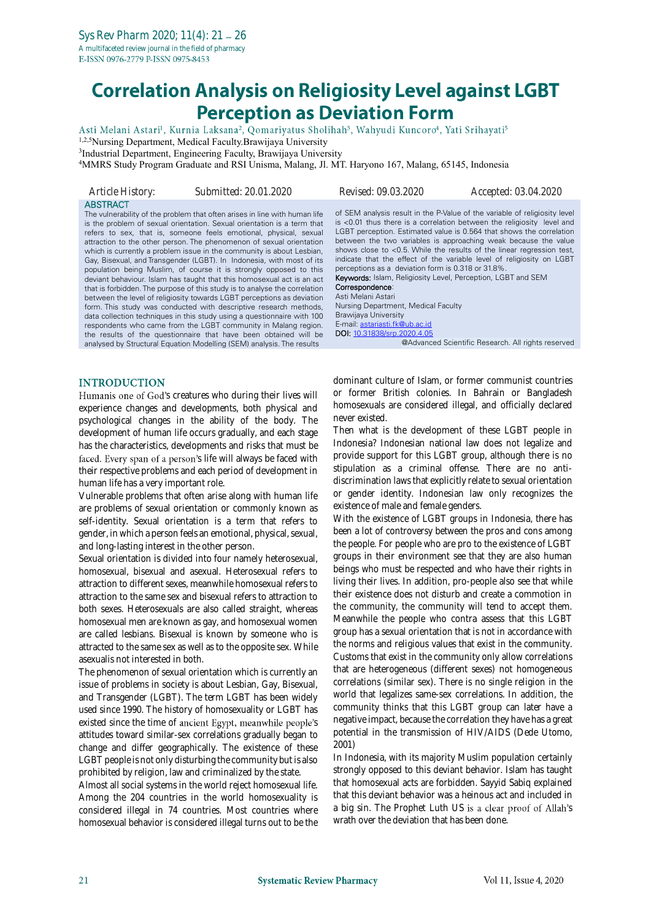# **Correlation Analysis on Religiosity Level against LGBT Perception as Deviation Form**

Asti Melani Astari<sup>1</sup>, Kurnia Laksana<sup>2</sup>, Qomariyatus Sholihah<sup>3</sup>, Wahyudi Kuncoro<sup>4</sup>, Yati Srihayati<sup>5</sup>

1,2,5Nursing Department, Medical Faculty.Brawijaya University

3 Industrial Department, Engineering Faculty, Brawijaya University

<sup>4</sup>MMRS Study Program Graduate and RSI Unisma, Malang, Jl. MT. Haryono 167, Malang, 65145, Indonesia

| Article History: | Submitted: 20.01.2020                                                                                                                                                                                                                                                                                                                                                                                                                                                                                                                                                                                                                                                                                                                                                                                                                                                                                                                                                                                                                                                                                                      | Revised: 09.03.2020                                                                                                                                                                                                                                                                                | Accepted: 03.04.2020                                                                                                                                                                                                                                                                                                                                                                                                                                                                                    |
|------------------|----------------------------------------------------------------------------------------------------------------------------------------------------------------------------------------------------------------------------------------------------------------------------------------------------------------------------------------------------------------------------------------------------------------------------------------------------------------------------------------------------------------------------------------------------------------------------------------------------------------------------------------------------------------------------------------------------------------------------------------------------------------------------------------------------------------------------------------------------------------------------------------------------------------------------------------------------------------------------------------------------------------------------------------------------------------------------------------------------------------------------|----------------------------------------------------------------------------------------------------------------------------------------------------------------------------------------------------------------------------------------------------------------------------------------------------|---------------------------------------------------------------------------------------------------------------------------------------------------------------------------------------------------------------------------------------------------------------------------------------------------------------------------------------------------------------------------------------------------------------------------------------------------------------------------------------------------------|
| <b>ABSTRACT</b>  | The vulnerability of the problem that often arises in line with human life<br>is the problem of sexual orientation. Sexual orientation is a term that<br>refers to sex, that is, someone feels emotional, physical, sexual<br>attraction to the other person. The phenomenon of sexual orientation<br>which is currently a problem issue in the community is about Lesbian,<br>Gay, Bisexual, and Transgender (LGBT). In Indonesia, with most of its<br>population being Muslim, of course it is strongly opposed to this<br>deviant behaviour. Islam has taught that this homosexual act is an act<br>that is forbidden. The purpose of this study is to analyse the correlation<br>between the level of religiosity towards LGBT perceptions as deviation<br>form. This study was conducted with descriptive research methods,<br>data collection techniques in this study using a questionnaire with 100<br>respondents who came from the LGBT community in Malang region.<br>the results of the questionnaire that have been obtained will be<br>analysed by Structural Equation Modelling (SEM) analysis. The results | perceptions as a deviation form is 0.318 or 31.8%.<br><b>Keywords: Islam, Religiosity Level, Perception, LGBT and SEM</b><br>Correspondence:<br>Asti Melani Astari<br>Nursing Department, Medical Faculty<br>Brawijaya University<br>E-mail: astariasti.fk@ub.ac.id<br>DOI: 10.31838/srp.2020.4.05 | of SEM analysis result in the P-Value of the variable of religiosity level<br>is <0.01 thus there is a correlation between the religiosity level and<br>LGBT perception. Estimated value is 0.564 that shows the correlation<br>between the two variables is approaching weak because the value<br>shows close to <0.5. While the results of the linear regression test,<br>indicate that the effect of the variable level of religiosity on LGBT<br>@Advanced Scientific Research. All rights reserved |
|                  |                                                                                                                                                                                                                                                                                                                                                                                                                                                                                                                                                                                                                                                                                                                                                                                                                                                                                                                                                                                                                                                                                                                            |                                                                                                                                                                                                                                                                                                    |                                                                                                                                                                                                                                                                                                                                                                                                                                                                                                         |

### **INTRODUCTION**

Humanis one of God's creatures who during their lives will experience changes and developments, both physical and psychological changes in the ability of the body. The development of human life occurs gradually, and each stage has the characteristics, developments and risks that must be faced. Every span of a person's life will always be faced with their respective problems and each period of development in human life has a very important role.

Vulnerable problems that often arise along with human life are problems of sexual orientation or commonly known as self-identity. Sexual orientation is a term that refers to gender, in which a person feels an emotional, physical, sexual, and long-lasting interest in the other person.

Sexual orientation is divided into four namely heterosexual, homosexual, bisexual and asexual. Heterosexual refers to attraction to different sexes, meanwhile homosexual refers to attraction to the same sex and bisexual refers to attraction to both sexes. Heterosexuals are also called straight, whereas homosexual men are known as gay, and homosexual women are called lesbians. Bisexual is known by someone who is attracted to the same sex as well as to the opposite sex. While asexualis not interested in both.

The phenomenon of sexual orientation which is currently an issue of problems in society is about Lesbian, Gay, Bisexual, and Transgender (LGBT). The term LGBT has been widely used since 1990. The history of homosexuality or LGBT has existed since the time of ancient Egypt, meanwhile people's attitudes toward similar-sex correlations gradually began to change and differ geographically. The existence of these LGBT people is not only disturbing the community but is also prohibited by religion, law and criminalized by the state.

Almost all social systems in the world reject homosexual life. Among the 204 countries in the world homosexuality is considered illegal in 74 countries. Most countries where homosexual behavior is considered illegal turns out to be the dominant culture of Islam, or former communist countries or former British colonies. In Bahrain or Bangladesh homosexuals are considered illegal, and officially declared never existed.

Then what is the development of these LGBT people in Indonesia? Indonesian national law does not legalize and provide support for this LGBT group, although there is no stipulation as a criminal offense. There are no antidiscrimination laws that explicitly relate to sexual orientation or gender identity. Indonesian law only recognizes the existence of male and female genders.

With the existence of LGBT groups in Indonesia, there has been a lot of controversy between the pros and cons among the people. For people who are pro to the existence of LGBT groups in their environment see that they are also human beings who must be respected and who have their rights in living their lives. In addition, pro-people also see that while their existence does not disturb and create a commotion in the community, the community will tend to accept them. Meanwhile the people who contra assess that this LGBT group has a sexual orientation that is not in accordance with the norms and religious values that exist in the community. Customs that exist in the community only allow correlations that are heterogeneous (different sexes) not homogeneous correlations (similar sex). There is no single religion in the world that legalizes same-sex correlations. In addition, the community thinks that this LGBT group can later have a negative impact, because the correlation they have has a great potential in the transmission of HIV/AIDS (Dede Utomo, 2001)

In Indonesia, with its majority Muslim population certainly strongly opposed to this deviant behavior. Islam has taught that homosexual acts are forbidden. Sayyid Sabiq explained that this deviant behavior was a heinous act and included in a big sin. The Prophet Luth US is a clear proof of Allah's wrath over the deviation that has been done.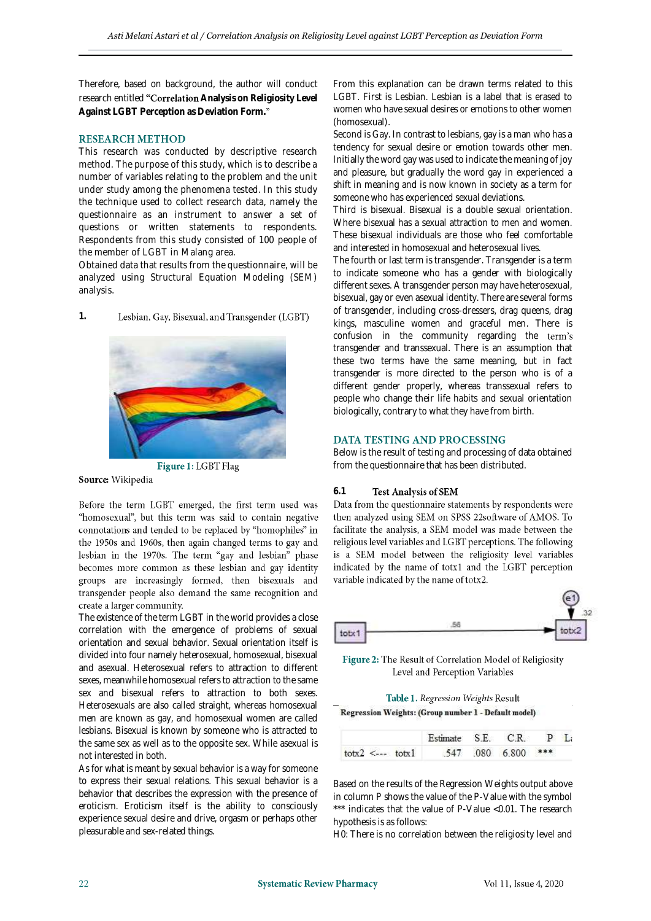Therefore, based on background, the author will conduct research entitled "Correlation Analysis on Religiosity Level **Against LGBT Perception as Deviation Form.**

## **RESEARCH METHOD**

This research was conducted by descriptive research method. The purpose of this study, which is to describe a number of variables relating to the problem and the unit under study among the phenomena tested. In this study the technique used to collect research data, namely the questionnaire as an instrument to answer a set of questions or written statements to respondents. Respondents from this study consisted of 100 people of the member of LGBT in Malang area.

Obtained data that results from the questionnaire, will be analyzed using Structural Equation Modeling (SEM) analysis.

Lesbian, Gay, Bisexual, and Transgender (LGBT)

Figure 1: LGBT Flag

Source: Wikipedia

**1.**

Before the term LGBT emerged, the first term used was "homosexual", but this term was said to contain negative connotations and tended to be replaced by "homophiles" in the 1950s and 1960s, then again changed terms to gay and lesbian in the 1970s. The term "gay and lesbian" phase becomes more common as these lesbian and gay identity groups are increasingly formed, then bisexuals and transgender people also demand the same recognition and create a larger community.

The existence of the term LGBT in the world provides a close correlation with the emergence of problems of sexual orientation and sexual behavior. Sexual orientation itself is divided into four namely heterosexual, homosexual, bisexual and asexual. Heterosexual refers to attraction to different sexes, meanwhile homosexual refers to attraction to the same sex and bisexual refers to attraction to both sexes. Heterosexuals are also called straight, whereas homosexual men are known as gay, and homosexual women are called lesbians. Bisexual is known by someone who is attracted to the same sex as well as to the opposite sex. While asexual is not interested in both.

As for what is meant by sexual behavior is a way for someone to express their sexual relations. This sexual behavior is a behavior that describes the expression with the presence of eroticism. Eroticism itself is the ability to consciously experience sexual desire and drive, orgasm or perhaps other pleasurable and sex-related things.

From this explanation can be drawn terms related to this LGBT. First is Lesbian. Lesbian is a label that is erased to women who have sexual desires or emotions to other women (homosexual).

Second is Gay. In contrast to lesbians, gay is a man who has a tendency for sexual desire or emotion towards other men. Initially the word gay was used to indicate the meaning of joy and pleasure, but gradually the word gay in experienced a shift in meaning and is now known in society as a term for someone who has experienced sexual deviations.

Third is bisexual. Bisexual is a double sexual orientation. Where bisexual has a sexual attraction to men and women. These bisexual individuals are those who feel comfortable and interested in homosexual and heterosexual lives.

The fourth or last term is transgender. Transgender is a term to indicate someone who has a gender with biologically different sexes. A transgender person may have heterosexual, bisexual, gay or even asexual identity. There are several forms of transgender, including cross-dressers, drag queens, drag kings, masculine women and graceful men. There is confusion in the community regarding the term's transgender and transsexual. There is an assumption that these two terms have the same meaning, but in fact transgender is more directed to the person who is of a different gender properly, whereas transsexual refers to people who change their life habits and sexual orientation biologically, contrary to what they have from birth.

## DATA TESTING AND PROCESSING

Below is the result of testing and processing of data obtained from the questionnaire that has been distributed.

### **Test Analysis of SEM**

6.1 **Test Analysis of SEM**<br>Data from the questionnaire statements by respondents were then analyzed using SEM on SPSS 22software of AMOS. To facilitate the analysis, a SEM model was made between the religious level variables and LGBT perceptions. The following is a SEM model between the religiosity level variables indicated by the name of totx1 and the LGBT perception variable indicated by the name of totx2.

| <b>Contract Contract</b><br>÷ | totx2 |
|-------------------------------|-------|

Figure 2: The Result of Correlation Model of Religiosity Level and Perception Variables

| Table 1. Regression Weights Result |
|------------------------------------|
|------------------------------------|

Regression Weights: (Group number 1 - Default model)

|                                                       | Estimate S.E. C.R. P La |  |  |
|-------------------------------------------------------|-------------------------|--|--|
| $\text{totx2} \leq -1 \text{totx1}$ 547 080 6.800 *** |                         |  |  |

Based on the results of the Regression Weights output above in column P shows the value of the P-Value with the symbol \*\*\* indicates that the value of P-Value <0.01. The research hypothesis is as follows:

H0: There is no correlation between the religiosity level and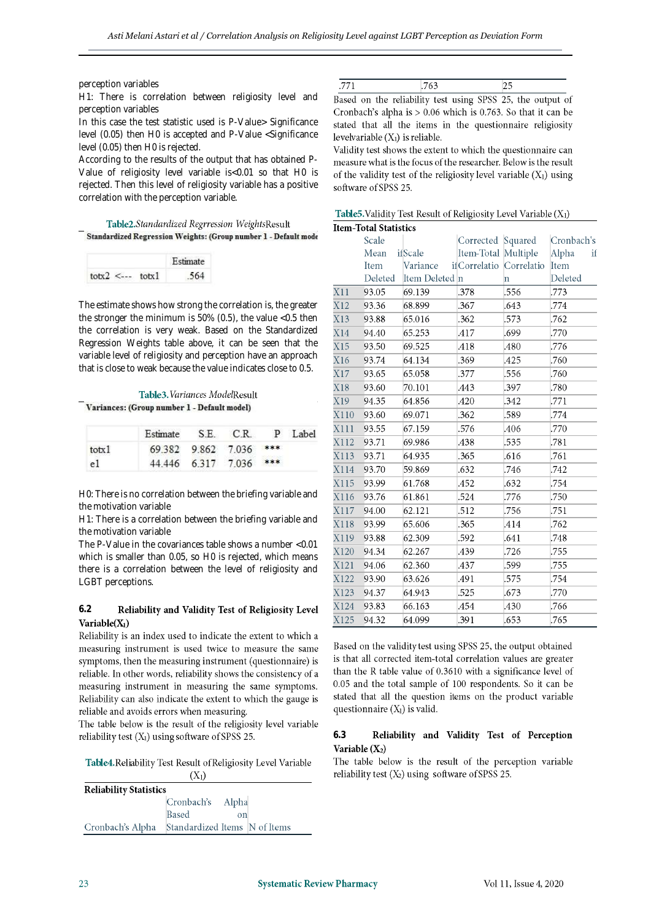### perception variables

H1: There is correlation between religiosity level and perception variables

In this case the test statistic used is P-Value> Significance level (0.05) then H0 is accepted and P-Value <Significance level (0.05) then H0 is rejected.

According to the results of the output that has obtained P-Value of religiosity level variable is<0.01 so that H0 is rejected. Then this level of religiosity variable has a positive correlation with the perception variable.

### Table2.Standardized Regrression WeightsResult Standardized Regression Weights: (Group number 1 - Default mode

|                                       | Estimate |
|---------------------------------------|----------|
| $\text{totx2} \leq -1$ $\text{totx1}$ | -564     |

The estimate shows how strong the correlation is, the greater the stronger the minimum is 50% (0.5), the value <0.5 then the correlation is very weak. Based on the Standardized Regression Weights table above, it can be seen that the variable level of religiosity and perception have an approach that is close to weak because the value indicates close to 0.5.

|                                             | <b>Table3.</b> Variances ModelResult |                    |               |  |         |  |
|---------------------------------------------|--------------------------------------|--------------------|---------------|--|---------|--|
| Variances: (Group number 1 - Default model) |                                      |                    |               |  |         |  |
|                                             | Estimate                             | S.E.               | C.R           |  | P Label |  |
| totx1                                       |                                      | 69.382 9.862 7.036 |               |  |         |  |
| 1 ه                                         |                                      |                    | $6317$ $7036$ |  |         |  |

H0: There is no correlation between the briefing variable and the motivation variable

H1: There is a correlation between the briefing variable and the motivation variable

The P-Value in the covariances table shows a number <0.01 which is smaller than 0.05, so H0 is rejected, which means there is a correlation between the level of religiosity and LGBT perceptions.

### **6.2** Reliability and Validity Test of Religiosity Level Variable $(X_1)$

Reliability is an index used to indicate the extent to which a measuring instrument is used twice to measure the same symptoms, then the measuring instrument (questionnaire) is reliable. In other words, reliability shows the consistency of a measuring instrument in measuring the same symptoms. Reliability can also indicate the extent to which the gauge is reliable and avoids errors when measuring.

The table below is the result of the religiosity level variable reliability test  $(X_1)$  using software of SPSS 25.

Table4. Reliability Test Result of Religiosity Level Variable  $(X_1)$ 

| <b>Reliability Statistics</b> |                               |             |  |  |  |  |
|-------------------------------|-------------------------------|-------------|--|--|--|--|
|                               | Cronbach's Alpha              |             |  |  |  |  |
|                               | <b>Based</b>                  | $_{\rm on}$ |  |  |  |  |
| Cronbach's Alpha              | Standardized Items N of Items |             |  |  |  |  |

| .771 | .763                                                       | 25 |  |
|------|------------------------------------------------------------|----|--|
|      | Based on the reliability test using SPSS 25, the output of |    |  |
|      |                                                            |    |  |

Cronbach's alpha is  $> 0.06$  which is 0.763. So that it can be stated that all the items in the questionnaire religiosity levelvariable  $(X_1)$  is reliable.

Validity test shows the extent to which the questionnaire can measure what is the focus of the researcher. Below is the result of the validity test of the religiosity level variable  $(X_1)$  using software of SPSS 25.

Table 5. Validity Test Result of Religiosity Level Variable  $(X_1)$ 

|      | <b>Item-Total Statistics</b> |                |                          |             |             |
|------|------------------------------|----------------|--------------------------|-------------|-------------|
|      | Scale                        |                | Corrected Squared        |             | Cronbach's  |
|      | Mean                         | ifScale        | Item-Total               | Multiple    | Alpha<br>if |
|      | Item                         | Variance       | if Correlatio Correlatio |             | Item        |
|      | Deleted                      | Item Deleted n |                          | $\mathbf n$ | Deleted     |
| X11  | 93.05                        | 69.139         | .378                     | .556        | .773        |
| X12  | 93.36                        | 68.899         | .367                     | .643        | .774        |
| X13  | 93.88                        | 65.016         | .362                     | .573        | .762        |
| X14  | 94.40                        | 65.253         | .417                     | .699        | .770        |
| X15  | 93.50                        | 69.525         | .418                     | .480        | .776        |
| X16  | 93.74                        | 64.134         | .369                     | .425        | .760        |
| X17  | 93.65                        | 65.058         | .377                     | .556        | .760        |
| X18  | 93.60                        | 70.101         | .443                     | .397        | .780        |
| X19  | 94.35                        | 64.856         | .420                     | 342         | .771        |
| X110 | 93.60                        | 69.071         | .362                     | .589        | .774        |
| X111 | 93.55                        | 67.159         | .576                     | .406        | .770        |
| X112 | 93.71                        | 69.986         | .438                     | .535        | .781        |
| X113 | 93.71                        | 64.935         | .365                     | .616        | .761        |
| X114 | 93.70                        | 59.869         | .632                     | .746        | .742        |
| X115 | 93.99                        | 61.768         | .452                     | .632        | .754        |
| X116 | 93.76                        | 61.861         | .524                     | .776        | .750        |
| X117 | 94.00                        | 62.121         | .512                     | .756        | .751        |
| X118 | 93.99                        | 65.606         | .365                     | .414        | .762        |
| X119 | 93.88                        | 62.309         | .592                     | .641        | .748        |
| X120 | 94.34                        | 62.267         | .439                     | .726        | .755        |
| X121 | 94.06                        | 62.360         | .437                     | .599        | .755        |
| X122 | 93.90                        | 63.626         | .491                     | .575        | .754        |
| X123 | 94.37                        | 64.943         | .525                     | .673        | .770        |
| X124 | 93.83                        | 66.163         | .454                     | .430        | .766        |
| X125 | 94.32                        | 64.099         | .391                     | .653        | .765        |

Based on the validity test using SPSS 25, the output obtained is that all corrected item-total correlation values are greater than the R table value of 0.3610 with a significance level of 0.05 and the total sample of 100 respondents. So it can be stated that all the question items on the product variable questionnaire  $(X_1)$  is valid.

### **6.3**Reliability and Validity Test of Perception Variable  $(X_2)$

The table below is the result of the perception variable reliability test  $(X_2)$  using software of SPSS 25.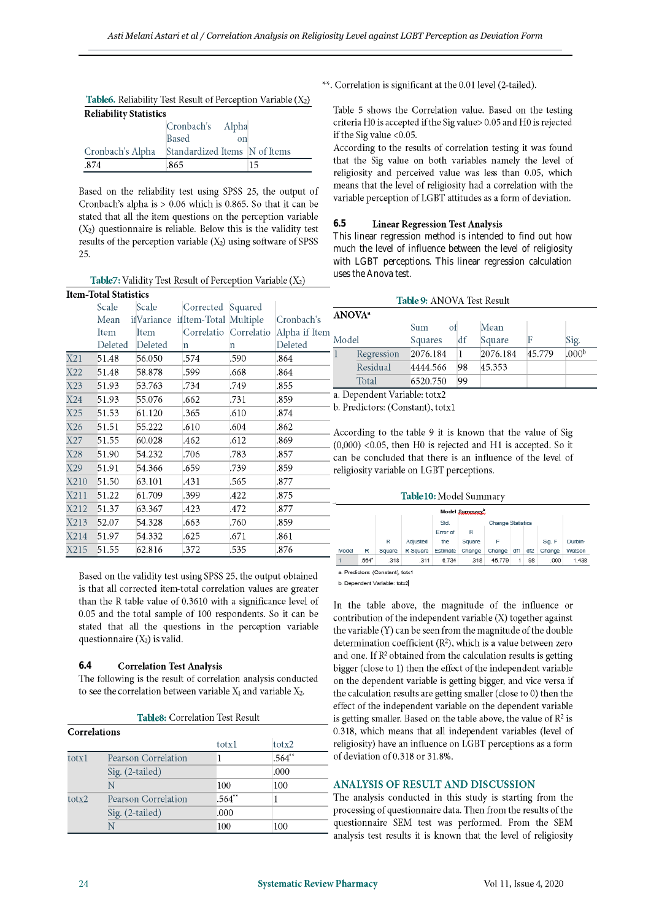| <b>Table6.</b> Reliability Test Result of Perception Variable $(X_2)$ |                               |    |  |  |  |  |  |
|-----------------------------------------------------------------------|-------------------------------|----|--|--|--|--|--|
| <b>Reliability Statistics</b>                                         |                               |    |  |  |  |  |  |
|                                                                       | Cronbach's Alpha              |    |  |  |  |  |  |
|                                                                       | <b>Based</b><br>$_{\rm on}$   |    |  |  |  |  |  |
| Cronbach's Alpha                                                      | Standardized Items N of Items |    |  |  |  |  |  |
| -874                                                                  | .865                          | 15 |  |  |  |  |  |

Based on the reliability test using SPSS 25, the output of Cronbach's alpha is  $> 0.06$  which is 0.865. So that it can be stated that all the item questions on the perception variable  $(X_2)$  questionnaire is reliable. Below this is the validity test results of the perception variable  $(X_2)$  using software of SPSS 25.

|      | <b>Item-Total Statistics</b> |                                  |                   |                       |               |  |  |
|------|------------------------------|----------------------------------|-------------------|-----------------------|---------------|--|--|
|      | Scale                        | Scale                            | Corrected Squared |                       |               |  |  |
|      | Mean                         | ifVariance ifItem-Total Multiple |                   |                       | Cronbach's    |  |  |
|      | Item                         | Item                             |                   | Correlatio Correlatio | Alpha if Iten |  |  |
|      | Deleted                      | Deleted                          | n                 | $\mathbf n$           | Deleted       |  |  |
| X21  | 51.48                        | 56.050                           | .574              | .590                  | .864          |  |  |
| X22  | 51.48                        | 58.878                           | .599              | .668                  | .864          |  |  |
| X23  | 51.93                        | 53.763                           | .734              | .749                  | .855          |  |  |
| X24  | 51.93                        | 55.076                           | .662              | .731                  | .859          |  |  |
| X25  | 51.53                        | 61.120                           | .365              | .610                  | .874          |  |  |
| X26  | 51.51                        | 55.222                           | .610              | .604                  | .862          |  |  |
| X27  | 51.55                        | 60.028                           | .462              | .612                  | .869          |  |  |
| X28  | 51.90                        | 54.232                           | .706              | .783                  | .857          |  |  |
| X29  | 51.91                        | 54.366                           | .659              | .739                  | .859          |  |  |
| X210 | 51.50                        | 63.101                           | .431              | .565                  | .877          |  |  |
| X211 | 51.22                        | 61.709                           | .399              | .422                  | .875          |  |  |
| X212 | 51.37                        | 63.367                           | .423              | .472                  | .877          |  |  |
| X213 | 52.07                        | 54.328                           | .663              | .760                  | .859          |  |  |
| X214 | 51.97                        | 54.332                           | .625              | .671                  | .861          |  |  |
| X215 | 51.55                        | 62.816                           | .372              | .535                  | .876          |  |  |

Based on the validity test using SPSS 25, the output obtained is that all corrected item-total correlation values are greater than the R table value of 0.3610 with a significance level of 0.05 and the total sample of 100 respondents. So it can be stated that all the questions in the perception variable questionnaire  $(X_2)$  is valid.

#### $6.4$ **Correlation Test Analysis**

The following is the result of correlation analysis conducted to see the correlation between variable  $X_1$  and variable  $X_2$ .

Table8: Correlation Test Result

| <b>Correlations</b> |          |          |
|---------------------|----------|----------|
|                     | totxl    | totx2    |
| Pearson Correlation |          | $.564**$ |
| Sig. (2-tailed)     |          | .000     |
| N                   | 100      | 100      |
| Pearson Correlation | $.564**$ |          |
| Sig. (2-tailed)     | .000     |          |
| N                   | 100      | 100      |
|                     |          |          |

\*\*. Correlation is significant at the 0.01 level (2-tailed).

Table 5 shows the Correlation value. Based on the testing criteria H0 is accepted if the Sig value > 0.05 and H0 is rejected if the Sig value  $<$  0.05.

According to the results of correlation testing it was found that the Sig value on both variables namely the level of religiosity and perceived value was less than 0.05, which means that the level of religiosity had a correlation with the variable perception of LGBT attitudes as a form of deviation.

#### $6.5$ **Linear Regression Test Analysis**

This linear regression method is intended to find out how much the level of influence between the level of religiosity with LGBT perceptions. This linear regression calculation uses the Anova test.

|  | ANOVA <sup>a</sup> |            |           |    |          |        |                   |
|--|--------------------|------------|-----------|----|----------|--------|-------------------|
|  | Model              |            | Sum<br>οt |    | Mean     |        |                   |
|  |                    |            | Squares   | df | Square   |        | Sig.              |
|  |                    | Regression | 2076.184  |    | 2076.184 | 45.779 | .000 <sub>p</sub> |
|  |                    | Residual   | 4444.566  | 98 | 45.353   |        |                   |
|  |                    | Total      | 6520.750  | 99 |          |        |                   |

- b. Predictors: (Constant), totx1

- According to the table 9 it is known that the value of Sig  $(0,000)$  <0.05, then H0 is rejected and H1 is accepted. So it \_ can be concluded that there is an influence of the level of religiosity variable on LGBT perceptions.

### Table10: Model Summary

| Model Summary.                 |                   |        |          |                 |                          |                |    |    |        |         |
|--------------------------------|-------------------|--------|----------|-----------------|--------------------------|----------------|----|----|--------|---------|
|                                |                   |        |          | Std.            | <b>Change Statistics</b> |                |    |    |        |         |
|                                |                   |        |          | Error of        | R                        |                |    |    |        |         |
|                                |                   | R      | Adjusted | the             | Square                   | F              |    |    | Sig. F | Durbin- |
| Model                          | R                 | Square | R Square | Estimate Change |                          | Change df1 df2 |    |    | Change | Watson  |
| 1                              | .564 <sup>a</sup> | .318   | .311     | 6.734           | .318                     | 45.779         | 1. | 98 | .000   | 1.438   |
| a Pradictors: (Constant) toty1 |                   |        |          |                 |                          |                |    |    |        |         |

b. Dependent Variable: totx2

In the table above, the magnitude of the influence or contribution of the independent variable  $(X)$  together against the variable (Y) can be seen from the magnitude of the double determination coefficient  $(R^2)$ , which is a value between zero and one. If R<sup>2</sup> obtained from the calculation results is getting bigger (close to 1) then the effect of the independent variable on the dependent variable is getting bigger, and vice versa if the calculation results are getting smaller (close to 0) then the effect of the independent variable on the dependent variable is getting smaller. Based on the table above, the value of  $\mathbb{R}^2$  is 0.318, which means that all independent variables (level of religiosity) have an influence on LGBT perceptions as a form of deviation of 0.318 or 31.8%.

## ANALYSIS OF RESULT AND DISCUSSION

The analysis conducted in this study is starting from the processing of questionnaire data. Then from the results of the questionnaire SEM test was performed. From the SEM analysis test results it is known that the level of religiosity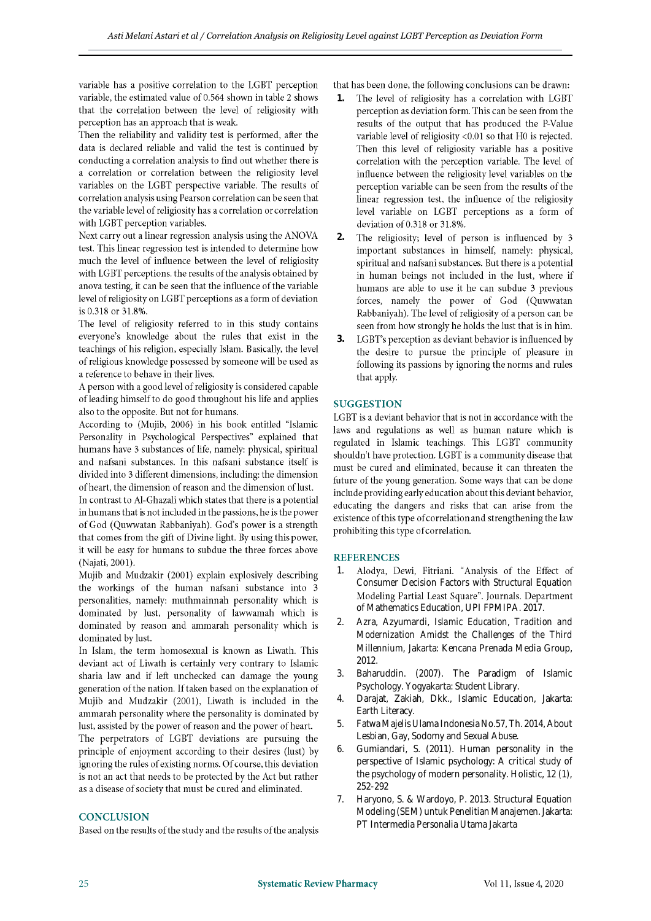variable has a positive correlation to the LGBT perception variable, the estimated value of 0.564 shown in table 2 shows that the correlation between the level of religiosity with perception has an approach that is weak.

Then the reliability and validity test is performed, after the data is declared reliable and valid the test is continued by conducting a correlation analysis to find out whether there is a correlation or correlation between the religiosity level variables on the LGBT perspective variable. The results of correlation analysis using Pearson correlation can be seen that the variable level of religiosity has a correlation or correlation with LGBT perception variables.

Next carry out a linear regression analysis using the ANOVA test. This linear regression test is intended to determine how much the level of influence between the level of religiosity with LGBT perceptions, the results of the analysis obtained by anova testing, it can be seen that the influence of the variable level of religiosity on LGBT perceptions as a form of deviation is 0.318 or 31.8%.

The level of religiosity referred to in this study contains everyone's knowledge about the rules that exist in the teachings of his religion, especially Islam. Basically, the level of religious knowledge possessed by someone will be used as a reference to behave in their lives.

A person with a good level of religiosity is considered capable of leading himself to do good throughout his life and applies also to the opposite. But not for humans.

According to (Mujib, 2006) in his book entitled "Islamic Personality in Psychological Perspectives" explained that humans have 3 substances of life, namely: physical, spiritual and nafsani substances. In this nafsani substance itself is divided into 3 different dimensions, including: the dimension of heart, the dimension of reason and the dimension of lust. In contrast to Al-Ghazali which states that there is a potential in humans that is not included in the passions, he is the power of God (Quwwatan Rabbaniyah). God's power is a strength that comes from the gift of Divine light. By using this power, it will be easy for humans to subdue the three forces above (Najati, 2001).

Mujib and Mudzakir (2001) explain explosively describing the workings of the human nafsani substance into 3 personalities, namely: muthmainnah personality which is dominated by lust, personality of lawwamah which is dominated by reason and ammarah personality which is dominated by lust.

In Islam, the term homosexual is known as Liwath. This deviant act of Liwath is certainly very contrary to Islamic sharia law and if left unchecked can damage the young generation of the nation. If taken based on the explanation of Mujib and Mudzakir (2001), Liwath is included in the ammarah personality where the personality is dominated by lust, assisted by the power of reason and the power of heart.

The perpetrators of LGBT deviations are pursuing the principle of enjoyment according to their desires (lust) by ignoring the rules of existing norms. Of course, this deviation is not an act that needs to be protected by the Act but rather as a disease of society that must be cured and eliminated.

## **CONCLUSION**

Based on the results of the study and the results of the analysis

that has been done, the following conclusions can be drawn:

- The level of religiosity has a correlation with LGBT **1.** perception as deviation form. This can be seen from the results of the output that has produced the P-Value variable level of religiosity <0.01 so that H0 is rejected. Then this level of religiosity variable has a positive correlation with the perception variable. The level of influence between the religiosity level variables on the perception variable can be seen from the results of the linear regression test, the influence of the religiosity level variable on LGBT perceptions as a form of deviation of 0.318 or 31.8%.
- **2.** The religiosity; level of person is influenced by 3 important substances in himself, namely: physical, spiritual and nafsani substances. But there is a potential in human beings not included in the lust, where if humans are able to use it he can subdue 3 previous forces, namely the power of God (Quwwatan Rabbaniyah). The level of religiosity of a person can be seen from how strongly he holds the lust that is in him.
- **3.** LGBT's perception as deviant behavior is influenced by the desire to pursue the principle of pleasure in following its passions by ignoring the norms and rules that apply.

# **SUGGESTION**

LGBT is a deviant behavior that is not in accordance with the laws and regulations as well as human nature which is regulated in Islamic teachings. This LGBT community shouldn't have protection. LGBT is a community disease that must be cured and eliminated, because it can threaten the future of the young generation. Some ways that can be done include providing early education about this deviant behavior, educating the dangers and risks that can arise from the existence of this type of correlation and strengthening the law prohibiting this type of correlation.

## **REFERENCES**

- Alodya, Dewi, Fitriani. "Analysis of the Effect of 1. Consumer Decision Factors with Structural Equation Modeling Partial Least Square". Journals. Department of Mathematics Education, UPI FPMIPA. 2017.
- 2. Azra, Azyumardi, *Islamic Education, Tradition and Modernization Amidst the Challenges of the Third Millennium,* Jakarta: Kencana Prenada Media Group, 2012.
- 3. Baharuddin. (2007). The Paradigm of Islamic Psychology. Yogyakarta: Student Library.
- 4. Darajat, Zakiah, Dkk., Islamic Education, Jakarta: Earth Literacy.
- 5. Fatwa Majelis Ulama Indonesia No.57, Th. 2014, About Lesbian, Gay, Sodomy and Sexual Abuse.
- 6. Gumiandari, S. (2011). Human personality in the perspective of Islamic psychology: A critical study of the psychology of modern personality. Holistic, 12 (1), 252-292
- 7. Haryono, S. & Wardoyo, P. 2013. Structural Equation Modeling (SEM) untuk Penelitian Manajemen. Jakarta: PT Intermedia Personalia Utama Jakarta